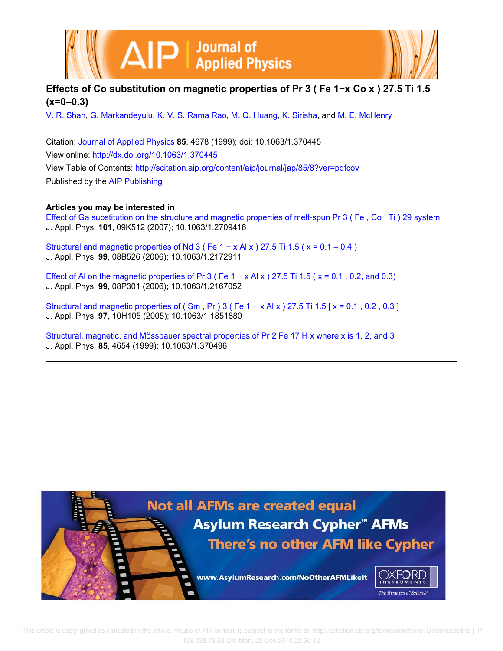



V. R. Shah, G. Markandeyulu, K. V. S. Rama Rao, M. Q. Huang, K. Sirisha, and M. E. McHenry

Citation: Journal of Applied Physics **85**, 4678 (1999); doi: 10.1063/1.370445 View online: http://dx.doi.org/10.1063/1.370445 View Table of Contents: http://scitation.aip.org/content/aip/journal/jap/85/8?ver=pdfcov Published by the AIP Publishing

## **Articles you may be interested in**

Effect of Ga substitution on the structure and magnetic properties of melt-spun Pr 3 ( Fe , Co , Ti ) 29 system J. Appl. Phys. **101**, 09K512 (2007); 10.1063/1.2709416

Structural and magnetic properties of Nd 3 ( Fe  $1 - x$  Al x ) 27.5 Ti 1.5 ( $x = 0.1 - 0.4$  ) J. Appl. Phys. **99**, 08B526 (2006); 10.1063/1.2172911

Effect of AI on the magnetic properties of Pr 3 ( Fe  $1 - x$  AI x ) 27.5 Ti 1.5 ( $x = 0.1$ , 0.2, and 0.3) J. Appl. Phys. **99**, 08P301 (2006); 10.1063/1.2167052

Structural and magnetic properties of ( $\text{Sm}$ , Pr) 3 (Fe 1 – x Al x) 27.5 Ti 1.5 [ $x = 0.1$ , 0.2, 0.3] J. Appl. Phys. **97**, 10H105 (2005); 10.1063/1.1851880

Structural, magnetic, and Mössbauer spectral properties of Pr 2 Fe 17 H x where x is 1, 2, and 3 J. Appl. Phys. **85**, 4654 (1999); 10.1063/1.370496

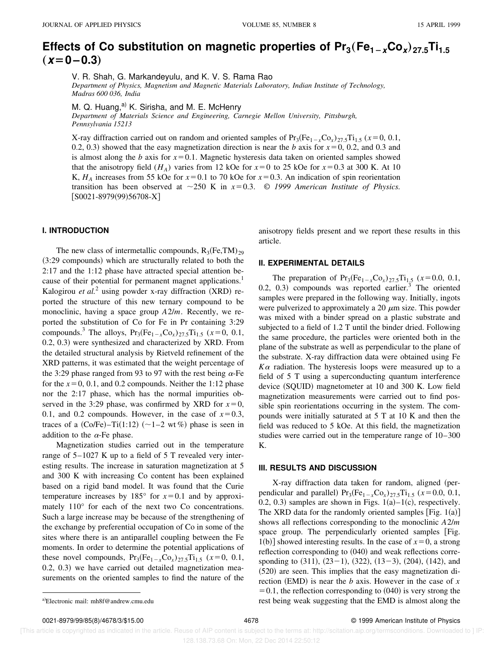# Effects of Co substitution on magnetic properties of  $Pr_3$ (Fe<sub>1-x</sub>Co<sub>x</sub>)<sub>27.5</sub>Ti<sub>1.5</sub>  $(x=0-0.3)$

V. R. Shah, G. Markandeyulu, and K. V. S. Rama Rao *Department of Physics, Magnetism and Magnetic Materials Laboratory, Indian Institute of Technology, Madras 600 036, India*

M. Q. Huang, $a^{(i)}$  K. Sirisha, and M. E. McHenry

*Department of Materials Science and Engineering, Carnegie Mellon University, Pittsburgh, Pennsylvania 15213*

X-ray diffraction carried out on random and oriented samples of  $Pr_3(Fe_{1-x}Co_x)_{27.5}Ti_{1.5}$  ( $x=0, 0.1,$ 0.2, 0.3) showed that the easy magnetization direction is near the *b* axis for  $x=0$ , 0.2, and 0.3 and is almost along the *b* axis for  $x=0.1$ . Magnetic hysteresis data taken on oriented samples showed that the anisotropy field ( $H_A$ ) varies from 12 kOe for  $x=0$  to 25 kOe for  $x=0.3$  at 300 K. At 10 K,  $H_A$  increases from 55 kOe for  $x=0.1$  to 70 kOe for  $x=0.3$ . An indication of spin reorientation transition has been observed at  $\sim$ 250 K in  $x=0.3$ . © 1999 American Institute of Physics.  $[SO021-8979(99)56708-X]$ 

## **I. INTRODUCTION**

The new class of intermetallic compounds,  $R_3$ (Fe,TM)<sub>29</sub>  $(3:29$  compounds) which are structurally related to both the 2:17 and the 1:12 phase have attracted special attention because of their potential for permanent magnet applications.<sup>1</sup> Kalogirou et al.<sup>2</sup> using powder x-ray diffraction (XRD) reported the structure of this new ternary compound to be monoclinic, having a space group *A*2/*m*. Recently, we reported the substitution of Co for Fe in Pr containing 3:29 compounds.<sup>3</sup> The alloys,  $Pr_3(Fe_{1-x}Co_x)_{27.5}Ti_{1.5}$  ( $x=0, 0.1$ , 0.2, 0.3) were synthesized and characterized by XRD. From the detailed structural analysis by Rietveld refinement of the XRD patterns, it was estimated that the weight percentage of the 3:29 phase ranged from 93 to 97 with the rest being  $\alpha$ -Fe for the  $x=0, 0.1$ , and 0.2 compounds. Neither the 1:12 phase nor the 2:17 phase, which has the normal impurities observed in the 3:29 phase, was confirmed by XRD for  $x=0$ , 0.1, and 0.2 compounds. However, in the case of  $x=0.3$ , traces of a  $(Co/Fe)$ –Ti $(1:12)$   $(\sim1-2 \text{ wt } \%)$  phase is seen in addition to the  $\alpha$ -Fe phase.

Magnetization studies carried out in the temperature range of 5–1027 K up to a field of 5 T revealed very interesting results. The increase in saturation magnetization at 5 and 300 K with increasing Co content has been explained based on a rigid band model. It was found that the Curie temperature increases by  $185^{\circ}$  for  $x=0.1$  and by approximately 110° for each of the next two Co concentrations. Such a large increase may be because of the strengthening of the exchange by preferential occupation of Co in some of the sites where there is an antiparallel coupling between the Fe moments. In order to determine the potential applications of these novel compounds,  $Pr_3(Fe_{1-x}Co_x)_{27.5}Ti_{1.5} (x=0, 0.1,$  $(0.2, 0.3)$  we have carried out detailed magnetization measurements on the oriented samples to find the nature of the anisotropy fields present and we report these results in this article.

### **II. EXPERIMENTAL DETAILS**

The preparation of  $Pr_3(Fe_{1-x}Co_x)_{27.5}Ti_{1.5}$  ( $x=0.0, 0.1$ ,  $(0.2, 0.3)$  compounds was reported earlier.<sup>3</sup> The oriented samples were prepared in the following way. Initially, ingots were pulverized to approximately a 20  $\mu$ m size. This powder was mixed with a binder spread on a plastic substrate and subjected to a field of 1.2 T until the binder dried. Following the same procedure, the particles were oriented both in the plane of the substrate as well as perpendicular to the plane of the substrate. X-ray diffraction data were obtained using Fe  $K\alpha$  radiation. The hysteresis loops were measured up to a field of 5 T using a superconducting quantum interference device  $(SQUID)$  magnetometer at 10 and 300 K. Low field magnetization measurements were carried out to find possible spin reorientations occurring in the system. The compounds were initially saturated at 5 T at 10 K and then the field was reduced to 5 kOe. At this field, the magnetization studies were carried out in the temperature range of 10–300 K.

#### **III. RESULTS AND DISCUSSION**

X-ray diffraction data taken for random, aligned (perpendicular and parallel)  $Pr_3(Fe_{1-x}Co_x)_{27.5}Ti_{1.5}$  ( $x=0.0, 0.1$ , 0.2, 0.3) samples are shown in Figs.  $1(a)-1(c)$ , respectively. The XRD data for the randomly oriented samples [Fig.  $1(a)$ ] shows all reflections corresponding to the monoclinic *A*2/*m* space group. The perpendicularly oriented samples [Fig. 1(b)] showed interesting results. In the case of  $x=0$ , a strong reflection corresponding to  $(040)$  and weak reflections corresponding to  $(311)$ ,  $(23-1)$ ,  $(322)$ ,  $(13-3)$ ,  $(204)$ ,  $(142)$ , and  $(520)$  are seen. This implies that the easy magnetization direction (EMD) is near the *b* axis. However in the case of  $x$  $=0.1$ , the reflection corresponding to  $(040)$  is very strong the a)Electronic mail: mh8f@andrew.cmu.edu electronic mail: mh8f@andrew.cmu.edu electronic mail: mh8f@andrew.cmu.edu

 [This article is copyrighted as indicated in the article. Reuse of AIP content is subject to the terms at: http://scitation.aip.org/termsconditions. Downloaded to ] IP: 128.138.73.68 On: Mon, 22 Dec 2014 22:50:12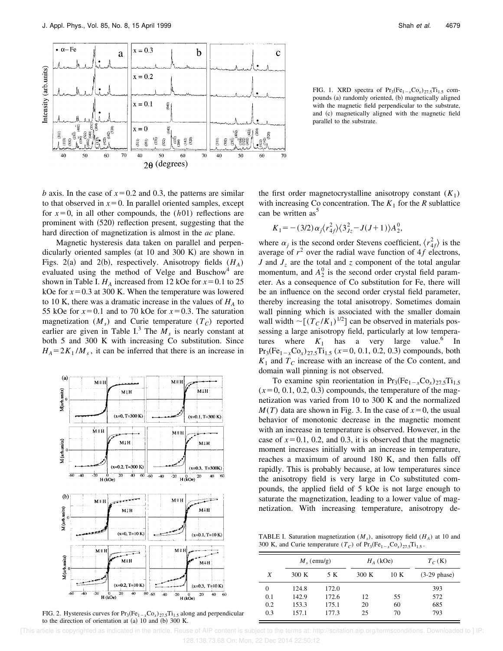

FIG. 1. XRD spectra of  $Pr_3(Fe_{1-x}Co_x)_{27.5}Ti_{1.5}$  compounds (a) randomly oriented, (b) magnetically aligned with the magnetic field perpendicular to the substrate, and (c) magnetically aligned with the magnetic field parallel to the substrate.

*b* axis. In the case of  $x=0.2$  and 0.3, the patterns are similar to that observed in  $x=0$ . In parallel oriented samples, except for  $x=0$ , in all other compounds, the  $(h01)$  reflections are prominent with  $(520)$  reflection present, suggesting that the hard direction of magnetization is almost in the *ac* plane.

Magnetic hysteresis data taken on parallel and perpendicularly oriented samples (at  $10$  and  $300$  K) are shown in Figs. 2(a) and 2(b), respectively. Anisotropy fields  $(H_A)$ evaluated using the method of Velge and Buschow<sup>4</sup> are shown in Table I.  $H_A$  increased from 12 kOe for  $x=0.1$  to 25 kOe for  $x=0.3$  at 300 K. When the temperature was lowered to 10 K, there was a dramatic increase in the values of  $H_A$  to 55 kOe for  $x=0.1$  and to 70 kOe for  $x=0.3$ . The saturation magnetization  $(M_s)$  and Curie temperature  $(T_c)$  reported earlier are given in Table I.<sup>3</sup> The  $M_s$  is nearly constant at both 5 and 300 K with increasing Co substitution. Since  $H_A = 2K_1/M_s$ , it can be inferred that there is an increase in



FIG. 2. Hysteresis curves for  $Pr_3(Fe_{1-x}Co_x)_{27.5}Ti_{1.5}$  along and perpendicular to the direction of orientation at  $(a)$  10 and  $(b)$  300 K.

the first order magnetocrystalline anisotropy constant  $(K_1)$ with increasing Co concentration. The  $K_1$  for the  $R$  sublattice can be written  $as<sup>5</sup>$ 

$$
K_1 = -(3/2)\alpha_j \langle r_{4f}^2 \rangle \langle 3_{Jz}^2 - J(J+1) \rangle A_2^0,
$$

where  $\alpha_j$  is the second order Stevens coefficient,  $\langle r_{4f}^2 \rangle$  is the average of  $r^2$  over the radial wave function of  $4f$  electrons, *J* and  $J_z$  are the total and *z* component of the total angular momentum, and  $A_2^0$  is the second order crystal field parameter. As a consequence of Co substitution for Fe, there will be an influence on the second order crystal field parameter, thereby increasing the total anisotropy. Sometimes domain wall pinning which is associated with the smaller domain wall width  $\sim [(T_C/K_1)^{1/2}]$  can be observed in materials possessing a large anisotropy field, particularly at low temperatures where  $K_1$  has a very large value.<sup>6</sup> In  $Pr_3(Fe_{1-x}Co_x)_{27.5}Ti_{1.5}$  ( $x=0, 0.1, 0.2, 0.3$ ) compounds, both  $K_1$  and  $T_C$  increase with an increase of the Co content, and domain wall pinning is not observed.

To examine spin reorientation in  $Pr_3(Fe_{1-x}Co_x)_{27.5}Ti_{1.5}$  $(x=0, 0.1, 0.2, 0.3)$  compounds, the temperature of the magnetization was varied from 10 to 300 K and the normalized  $M(T)$  data are shown in Fig. 3. In the case of  $x=0$ , the usual behavior of monotonic decrease in the magnetic moment with an increase in temperature is observed. However, in the case of  $x=0.1$ , 0.2, and 0.3, it is observed that the magnetic moment increases initially with an increase in temperature, reaches a maximum of around 180 K, and then falls off rapidly. This is probably because, at low temperatures since the anisotropy field is very large in Co substituted compounds, the applied field of 5 kOe is not large enough to saturate the magnetization, leading to a lower value of magnetization. With increasing temperature, anisotropy de-

TABLE I. Saturation magnetization (*M<sup>s</sup>* ), anisotropy field (*H<sup>A</sup>* ) at 10 and 300 K, and Curie temperature  $(T_C)$  of  $Pr_3(Fe_{1-x}Co_x)_{27.5}Ti_{1.5}$ .

|     | $M_{s}$ (emu/g) |       | $H_4$ (kOe) |      | $T_C(K)$        |
|-----|-----------------|-------|-------------|------|-----------------|
| X   | 300 K           | 5 K   | 300 K       | 10 K | $(3-29)$ phase) |
| 0   | 124.8           | 172.0 |             |      | 393             |
| 0.1 | 142.9           | 172.6 | 12          | 55   | 572             |
| 0.2 | 153.3           | 175.1 | 20          | 60   | 685             |
| 0.3 | 157.1           | 177.3 | 25          | 70   | 793             |

 [This article is copyrighted as indicated in the article. Reuse of AIP content is subject to the terms at: http://scitation.aip.org/termsconditions. Downloaded to ] IP: 128.138.73.68 On: Mon, 22 Dec 2014 22:50:12